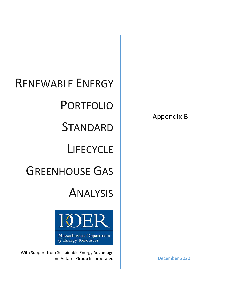# RENEWABLE ENERGY PORTFOLIO **STANDARD LIFECYCLE** GREENHOUSE GAS ANALYSIS



With Support from Sustainable Energy Advantage and Antares Group Incorporated and Antares Group Incorporated December 2020

Appendix B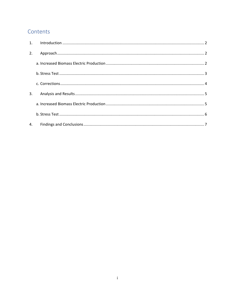# Contents

| 2. |  |
|----|--|
|    |  |
|    |  |
|    |  |
| 3. |  |
|    |  |
|    |  |
| 4. |  |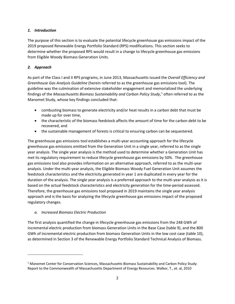# <span id="page-2-0"></span>*1. Introduction*

The purpose of this section is to evaluate the potential lifecycle greenhouse gas emissions impact of the 2019 proposed Renewable Energy Portfolio Standard (RPS) modifications. This section seeks to determine whether the proposed RPS would result in a change to lifecycle greenhouse gas emissions from Eligible Woody Biomass Generation Units.

# <span id="page-2-1"></span>*2. Approach*

As part of the Class I and II RPS programs, in June 2013, Massachusetts issued the *Overall Efficiency and Greenhouse Gas Analysis Guideline* (herein referred to as the greenhouse gas emissions tool). The guideline was the culmination of extensive stakeholder engagement and memorialized the underlying findings of the *Massachusetts Biomass Sustainability and Carbon Policy Study*, [1](#page-2-3) often referred to as the Manomet Study, whose key findings concluded that:

- combusting biomass to generate electricity and/or heat results in a carbon debt that must be made up for over time,
- the characteristic of the biomass feedstock affects the amount of time for the carbon debt to be recovered, and
- the sustainable management of forests is critical to ensuring carbon can be sequestered.

The greenhouse gas emissions tool establishes a multi-year accounting approach for the lifecycle greenhouse gas emissions emitted from the Generation Unit in a single year, referred to as the single year analysis. The single year analysis is the method used to determine whether a Generation Unit has met its regulatory requirement to reduce lifecycle greenhouse gas emissions by 50%. The greenhouse gas emissions tool also provides information on an alternative approach, referred to as the multi-year analysis. Under the multi-year analysis, the Eligible Biomass Woody Fuel Generation Unit assumes the feedstock characteristics and the electricity generated in year 1 are duplicated in every year for the duration of the analysis. The single year analysis is a preferred approach to the multi-year analysis as it is based on the actual feedstock characteristics and electricity generation for the time-period assessed. Therefore, the greenhouse gas emissions tool proposed in 2019 maintains the single year analysis approach and is the basis for analyzing the lifecycle greenhouse gas emissions impact of the proposed regulatory changes.

# <span id="page-2-2"></span>*a. Increased Biomass Electric Production*

The first analysis quantified the change in lifecycle greenhouse gas emissions from the 248 GWh of incremental electric production from biomass Generation Units in the Base Case (table 9), and the 800 GWh of incremental electric production from biomass Generation Units in the low cost case (table 10), as determined in Section 3 of the Renewable Energy Portfolio Standard Technical Analysis of Biomass.

<span id="page-2-3"></span> $1$  Manomet Center for Conservation Sciences, Massachusetts Biomass Sustainability and Carbon Policy Study: Report to the Commonwealth of Massachusetts Department of Energy Resources. Walker, T., et. al, 2010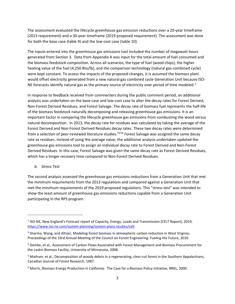The assessment evaluated the lifecycle greenhouse gas emission reductions over a 20-year timeframe (2013 requirement) and a 30-year timeframe (2019 proposed requirement). The assessment was done for both the base case (table 9) and the low-cost case (table 10).

The inputs entered into the greenhouse gas emissions tool included the number of megawatt hours generated from Section 3. Data from Appendix A was input for the total amount of fuel consumed and the biomass feedstock composition. Across all scenarios, the type of fuel (wood chips), the higher heating value of the fuel (4,250 Btu/lb), and the comparison technology (natural gas-combined cycle) were kept constant. To assess the impacts of the proposed changes, it is assumed the biomass plant would offset electricity generated from a new natural gas combined cycle Generation Unit because ISO-NE forecasts identify natural gas as the primary source of electricity over period of time modeled.<sup>[2](#page-3-1)</sup>

In response to feedback received from commenters during the public comment period, an additional analysis was undertaken on the base case and low-cost case to alter the decay rates for Forest Derived, Non-Forest Derived Residues, and Forest Salvage. The decay rate of biomass fuel represents the half-life of the biomass feedstock naturally decomposing and releasing greenhouse gas emissions. It is an important factor in comparing the lifecycle greenhouse gas emissions from combusting the wood versus natural decomposition. In 2013, the decay rate for residues was calculated by taking the average of the Forest Derived and Non-Forest Derived Residues decay rates. These two decay rates were determined from a selection of peer-reviewed literature studies.<sup>[3](#page-3-2)[4](#page-3-3)[5](#page-3-4)[6](#page-3-5)</sup> Forest Salvage was assigned the same decay rate as residues. Instead of using the average value, the additional analysis undertaken updated the greenhouse gas emissions tool to assign an individual decay rate to Forest Derived and Non-Forest Derived Residues. In this case, Forest Salvage was given the same decay rate as Forest Derived Residues, which has a longer recovery time compared to Non-Forest Derived Residues.

# <span id="page-3-0"></span>*b. Stress Test*

The second analysis assessed the greenhouse gas emissions reductions from a Generation Unit that met the minimum requirements from the 2013 regulations and compared against a Generation Unit that met the minimum requirements of the 2019 proposed regulations. This "stress test" was intended to show the least amount of greenhouse gas emissions reductions capable from a Generation Unit participating in the RPS program.

<span id="page-3-1"></span><sup>2</sup> ISO-NE, New England's Forecast report of Capacity, Energy, Loads and Transmission (CELT Report), 2019; <https://www.iso-ne.com/system-planning/system-plans-studies/celt>

<span id="page-3-2"></span><sup>&</sup>lt;sup>3</sup> Sharma, Wang, and Altizer, Modeling forest biomass in atmospheric carbon reduction in West Virginia; Proceedings of the 33rd Annual Meeting of the Council on Forest Engineering: Fueling the Future, 2010.

<span id="page-3-3"></span><sup>4</sup> Domke, et al., Assessment of Carbon Flows Associated with Forest Management and Biomass Procurement for the Laskin Biomass Facility, University of Minnesota, 2008.

<span id="page-3-4"></span><sup>&</sup>lt;sup>5</sup> Mattson, et al., Decomposition of woody debris in a regenerating, clear-cut forest in the Southern Appalachians, Canadian Journal of Forest Research, 1987.

<span id="page-3-5"></span><sup>6</sup> Morris, Biomass Energy Production in California: The Case for a Biomass Policy Initiative, NREL, 2000.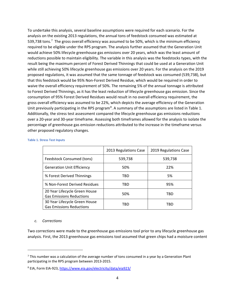To undertake this analysis, several baseline assumptions were required for each scenario. For the analysis on the existing 2013 regulations, the annual tons of feedstock consumed was estimated at 539,[7](#page-4-1)38 tons.<sup>7</sup> The gross overall efficiency was assumed to be 50%, which is the minimum efficiency required to be eligible under the RPS program. The analysis further assumed that the Generation Unit would achieve 50% lifecycle greenhouse gas emissions over 20 years, which was the least amount of reductions possible to maintain eligibility. The variable in this analysis was the feedstocks types, with the result being the maximum percent of Forest Derived Thinnings that could be used at a Generation Unit while still achieving 50% lifecycle greenhouse gas emissions over 20 years. For the analysis on the 2019 proposed regulations, it was assumed that the same tonnage of feedstock was consumed (539,738), but that this feedstock would be 95% Non-Forest Derived Residue, which would be required in order to waive the overall efficiency requirement of 50%. The remaining 5% of the annual tonnage is attributed to Forest Derived Thinnings, as it has the least reduction of lifecycle greenhouse gas emission. Since the consumption of 95% Forest Derived Residues would result in no overall efficiency requirement, the gross overall efficiency was assumed to be 22%, which depicts the average efficiency of the Generation Unit previously participating in the RPS program<sup>[8](#page-4-2)</sup>. A summary of the assumptions are listed in Table 1. Additionally, the stress test assessment compared the lifecycle greenhouse gas emissions reductions over a 20-year and 30-year timeframe. Assessing both timeframes allowed for the analysis to isolate the percentage of greenhouse gas emission reductions attributed to the increase in the timeframe versus other proposed regulatory changes.

|                                                                  | 2013 Regulations Case | 2019 Regulations Case |
|------------------------------------------------------------------|-----------------------|-----------------------|
| Feedstock Consumed (tons)                                        | 539,738               | 539,738               |
| <b>Generation Unit Efficiency</b>                                | 50%                   | 22%                   |
| % Forest Derived Thinnings                                       | TBD                   | 5%                    |
| % Non-Forest Derived Residues                                    | TBD                   | 95%                   |
| 20 Year Lifecycle Green House<br><b>Gas Emissions Reductions</b> | 50%                   | TBD                   |
| 30 Year Lifecycle Green House<br><b>Gas Emissions Reductions</b> | TBD                   | TBD                   |

### **Table 1. Stress Test Inputs**

### <span id="page-4-0"></span>*c. Corrections*

Two corrections were made to the greenhouse gas emissions tool prior to any lifecycle greenhouse gas analysis. First, the 2013 greenhouse gas emissions tool assumed that green chips had a moisture content

<span id="page-4-1"></span> $7$  This number was a calculation of the average number of tons consumed in a year by a Generation Plant participating in the RPS program between 2013-2015.

<span id="page-4-2"></span><sup>8</sup> EIA, Form EIA-923[, https://www.eia.gov/electricity/data/eia923/](https://www.eia.gov/electricity/data/eia923/)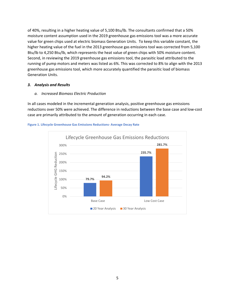of 40%, resulting in a higher heating value of 5,100 Btu/lb. The consultants confirmed that a 50% moisture content assumption used in the 2019 greenhouse gas emissions tool was a more accurate value for green chips used at electric biomass Generation Units. To keep this variable constant, the higher heating value of the fuel in the 2013 greenhouse gas emissions tool was corrected from 5,100 Btu/lb to 4,250 Btu/lb, which represents the heat value of green chips with 50% moisture content. Second, in reviewing the 2019 greenhouse gas emissions tool, the parasitic load attributed to the running of pump motors and meters was listed as 6%. This was corrected to 8% to align with the 2013 greenhouse gas emissions tool, which more accurately quantified the parasitic load of biomass Generation Units.

# <span id="page-5-0"></span>*3. Analysis and Results*

# <span id="page-5-1"></span>*a. Increased Biomass Electric Production*

In all cases modeled in the incremental generation analysis, positive greenhouse gas emissions reductions over 50% were achieved. The difference in reductions between the base case and low-cost case are primarily attributed to the amount of generation occurring in each case.



**Figure 1. Lifecycle Greenhouse Gas Emissions Reductions- Average Decay Rate**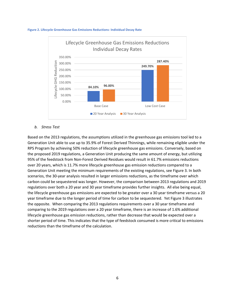

### **Figure 2. Lifecycle Greenhouse Gas Emissions Reductions- Individual Decay Rate**

# <span id="page-6-0"></span>*b. Stress Test*

Based on the 2013 regulations, the assumptions utilized in the greenhouse gas emissions tool led to a Generation Unit able to use up to 35.9% of Forest Derived Thinnings, while remaining eligible under the RPS Program by achieving 50% reduction of lifecycle greenhouse gas emissions. Conversely, based on the proposed 2019 regulations, a Generation Unit producing the same amount of energy, but utilizing 95% of the feedstock from Non-Forest Derived Residues would result in 61.7% emissions reductions over 20 years, which is 11.7% more lifecycle greenhouse gas emission reductions compared to a Generation Unit meeting the minimum requirements of the existing regulations, see Figure 3. In both scenarios, the 30-year analysis resulted in larger emissions reductions, as the timeframe over which carbon could be sequestered was longer. However, the comparison between 2013 regulations and 2019 regulations over both a 20 year and 30 year timeframe provides further insights. All else being equal, the lifecycle greenhouse gas emissions are expected to be greater over a 30 year timeframe versus a 20 year timeframe due to the longer period of time for carbon to be sequestered. Yet Figure 3 illustrates the opposite. When comparing the 2013 regulations requirements over a 30 year timeframe and comparing to the 2019 regulations over a 20 year timeframe, there is an increase of 1.6% additional lifecycle greenhouse gas emission reductions, rather than decrease that would be expected over a shorter period of time. This indicates that the type of feedstock consumed is more critical to emissions reductions than the timeframe of the calculation.